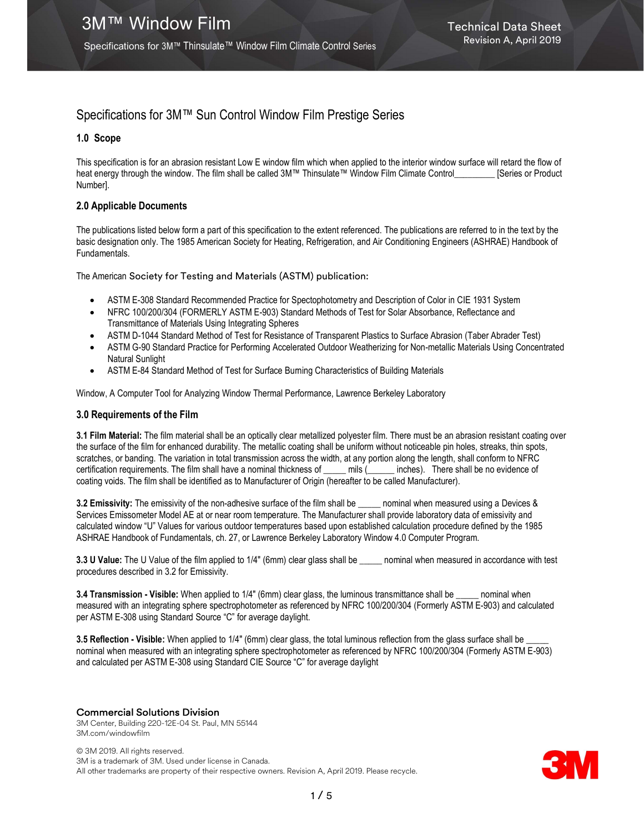Specifications for 3M™ Thinsulate™ Window Film Climate Control Series

## Specifications for 3M™ Sun Control Window Film Prestige Series

#### 1.0 Scope

This specification is for an abrasion resistant Low E window film which when applied to the interior window surface will retard the flow of heat energy through the window. The film shall be called 3M™ Thinsulate™ Window Film Climate Control\_\_\_\_\_\_\_\_ [Series or Product Number].

#### 2.0 Applicable Documents

The publications listed below form a part of this specification to the extent referenced. The publications are referred to in the text by the basic designation only. The 1985 American Society for Heating, Refrigeration, and Air Conditioning Engineers (ASHRAE) Handbook of Fundamentals.

The American Society for Testing and Materials (ASTM) publication:

- ASTM E-308 Standard Recommended Practice for Spectophotometry and Description of Color in CIE 1931 System
- NFRC 100/200/304 (FORMERLY ASTM E-903) Standard Methods of Test for Solar Absorbance, Reflectance and Transmittance of Materials Using Integrating Spheres
- ASTM D-1044 Standard Method of Test for Resistance of Transparent Plastics to Surface Abrasion (Taber Abrader Test)
- ASTM G-90 Standard Practice for Performing Accelerated Outdoor Weatherizing for Non-metallic Materials Using Concentrated Natural Sunlight
- ASTM E-84 Standard Method of Test for Surface Burning Characteristics of Building Materials

Window, A Computer Tool for Analyzing Window Thermal Performance, Lawrence Berkeley Laboratory

#### 3.0 Requirements of the Film

3.1 Film Material: The film material shall be an optically clear metallized polyester film. There must be an abrasion resistant coating over the surface of the film for enhanced durability. The metallic coating shall be uniform without noticeable pin holes, streaks, thin spots, scratches, or banding. The variation in total transmission across the width, at any portion along the length, shall conform to NFRC certification requirements. The film shall have a nominal thickness of \_\_\_\_\_ mils (\_\_\_\_\_\_ inches). There shall be no evidence of coating voids. The film shall be identified as to Manufacturer of Origin (hereafter to be called Manufacturer).

3.2 Emissivity: The emissivity of the non-adhesive surface of the film shall be \_\_\_\_\_ nominal when measured using a Devices & Services Emissometer Model AE at or near room temperature. The Manufacturer shall provide laboratory data of emissivity and calculated window "U" Values for various outdoor temperatures based upon established calculation procedure defined by the 1985 ASHRAE Handbook of Fundamentals, ch. 27, or Lawrence Berkeley Laboratory Window 4.0 Computer Program.

3.3 U Value: The U Value of the film applied to 1/4" (6mm) clear glass shall be \_\_\_\_\_ nominal when measured in accordance with test procedures described in 3.2 for Emissivity.

3.4 Transmission - Visible: When applied to 1/4" (6mm) clear glass, the luminous transmittance shall be \_\_\_\_\_ nominal when measured with an integrating sphere spectrophotometer as referenced by NFRC 100/200/304 (Formerly ASTM E-903) and calculated per ASTM E-308 using Standard Source "C" for average daylight.

3.5 Reflection - Visible: When applied to 1/4" (6mm) clear glass, the total luminous reflection from the glass surface shall be nominal when measured with an integrating sphere spectrophotometer as referenced by NFRC 100/200/304 (Formerly ASTM E-903) and calculated per ASTM E-308 using Standard CIE Source "C" for average daylight

#### Commercial Solutions Division

3M Center, Building 220-12E-04 St. Paul, MN 55144 3M.com/windowfilm

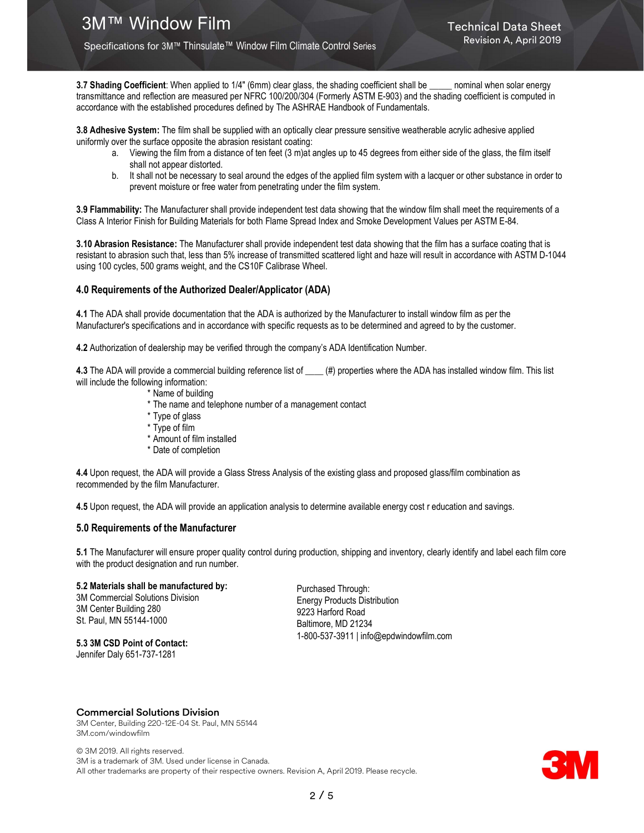3.7 Shading Coefficient: When applied to 1/4" (6mm) clear glass, the shading coefficient shall be \_\_\_\_\_ nominal when solar energy transmittance and reflection are measured per NFRC 100/200/304 (Formerly ASTM E-903) and the shading coefficient is computed in accordance with the established procedures defined by The ASHRAE Handbook of Fundamentals.

3.8 Adhesive System: The film shall be supplied with an optically clear pressure sensitive weatherable acrylic adhesive applied uniformly over the surface opposite the abrasion resistant coating:

- a. Viewing the film from a distance of ten feet (3 m)at angles up to 45 degrees from either side of the glass, the film itself shall not appear distorted.
- b. It shall not be necessary to seal around the edges of the applied film system with a lacquer or other substance in order to prevent moisture or free water from penetrating under the film system.

3.9 Flammability: The Manufacturer shall provide independent test data showing that the window film shall meet the requirements of a Class A Interior Finish for Building Materials for both Flame Spread Index and Smoke Development Values per ASTM E-84.

3.10 Abrasion Resistance: The Manufacturer shall provide independent test data showing that the film has a surface coating that is resistant to abrasion such that, less than 5% increase of transmitted scattered light and haze will result in accordance with ASTM D-1044 using 100 cycles, 500 grams weight, and the CS10F Calibrase Wheel.

#### 4.0 Requirements of the Authorized Dealer/Applicator (ADA)

4.1 The ADA shall provide documentation that the ADA is authorized by the Manufacturer to install window film as per the Manufacturer's specifications and in accordance with specific requests as to be determined and agreed to by the customer.

4.2 Authorization of dealership may be verified through the company's ADA Identification Number.

4.3 The ADA will provide a commercial building reference list of \_\_\_\_ (#) properties where the ADA has installed window film. This list will include the following information:

- \* Name of building
- \* The name and telephone number of a management contact
- \* Type of glass
- \* Type of film
- \* Amount of film installed
- \* Date of completion

4.4 Upon request, the ADA will provide a Glass Stress Analysis of the existing glass and proposed glass/film combination as recommended by the film Manufacturer.

4.5 Upon request, the ADA will provide an application analysis to determine available energy cost r education and savings.

#### 5.0 Requirements of the Manufacturer

5.1 The Manufacturer will ensure proper quality control during production, shipping and inventory, clearly identify and label each film core with the product designation and run number.

#### 5.2 Materials shall be manufactured by:

3M Commercial Solutions Division 3M Center Building 280 St. Paul, MN 55144-1000

Purchased Through: Energy Products Distribution 9223 Harford Road Baltimore, MD 21234 1-800-537-3911 | info@epdwindowfilm.com

### 5.3 3M CSD Point of Contact:

Jennifer Daly 651-737-1281

#### Commercial Solutions Division

3M Center, Building 220-12E-04 St. Paul, MN 55144 3M.com/windowfilm

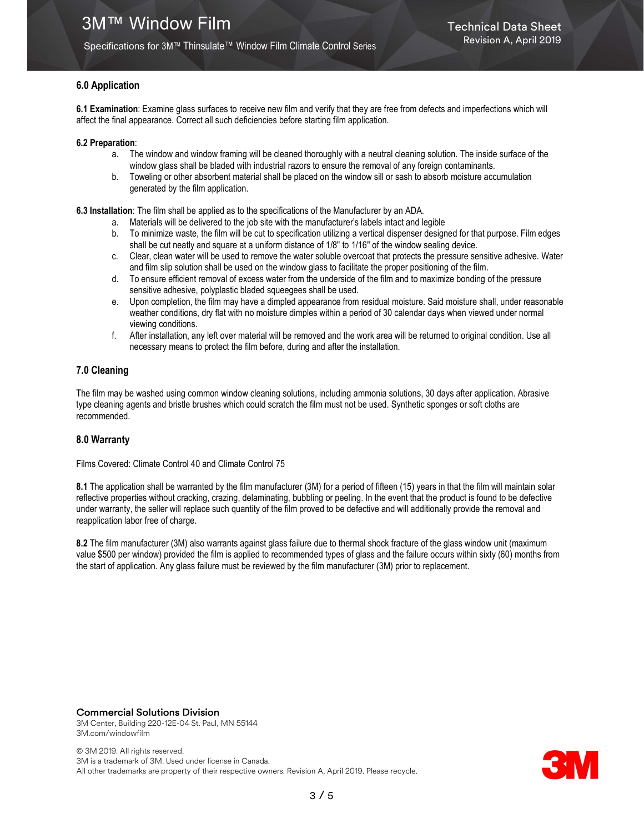#### Specifications for 3M™ Thinsulate™ Window Film Climate Control Series

#### 6.0 Application

6.1 Examination: Examine glass surfaces to receive new film and verify that they are free from defects and imperfections which will affect the final appearance. Correct all such deficiencies before starting film application.

#### 6.2 Preparation:

- a. The window and window framing will be cleaned thoroughly with a neutral cleaning solution. The inside surface of the window glass shall be bladed with industrial razors to ensure the removal of any foreign contaminants.
- b. Toweling or other absorbent material shall be placed on the window sill or sash to absorb moisture accumulation generated by the film application.

6.3 Installation: The film shall be applied as to the specifications of the Manufacturer by an ADA.

- a. Materials will be delivered to the job site with the manufacturer's labels intact and legible
- b. To minimize waste, the film will be cut to specification utilizing a vertical dispenser designed for that purpose. Film edges shall be cut neatly and square at a uniform distance of 1/8" to 1/16" of the window sealing device.
- c. Clear, clean water will be used to remove the water soluble overcoat that protects the pressure sensitive adhesive. Water and film slip solution shall be used on the window glass to facilitate the proper positioning of the film.
- d. To ensure efficient removal of excess water from the underside of the film and to maximize bonding of the pressure sensitive adhesive, polyplastic bladed squeegees shall be used.
- e. Upon completion, the film may have a dimpled appearance from residual moisture. Said moisture shall, under reasonable weather conditions, dry flat with no moisture dimples within a period of 30 calendar days when viewed under normal viewing conditions.
- f. After installation, any left over material will be removed and the work area will be returned to original condition. Use all necessary means to protect the film before, during and after the installation.

#### 7.0 Cleaning

The film may be washed using common window cleaning solutions, including ammonia solutions, 30 days after application. Abrasive type cleaning agents and bristle brushes which could scratch the film must not be used. Synthetic sponges or soft cloths are recommended.

#### 8.0 Warranty

Films Covered: Climate Control 40 and Climate Control 75

8.1 The application shall be warranted by the film manufacturer (3M) for a period of fifteen (15) years in that the film will maintain solar reflective properties without cracking, crazing, delaminating, bubbling or peeling. In the event that the product is found to be defective under warranty, the seller will replace such quantity of the film proved to be defective and will additionally provide the removal and reapplication labor free of charge.

8.2 The film manufacturer (3M) also warrants against glass failure due to thermal shock fracture of the glass window unit (maximum value \$500 per window) provided the film is applied to recommended types of glass and the failure occurs within sixty (60) months from the start of application. Any glass failure must be reviewed by the film manufacturer (3M) prior to replacement.

#### Commercial Solutions Division

3M Center, Building 220-12E-04 St. Paul, MN 55144 3M.com/windowfilm

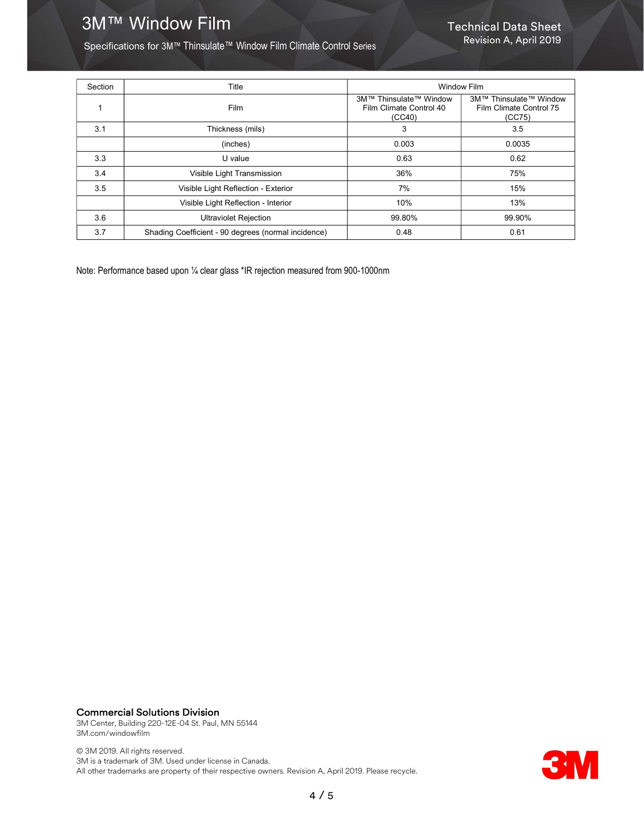# **3M™ Window Film Technical Data Sheet**

Specifications for 3M™ Thinsulate™ Window Film Climate Control Series

| Section | Title                                               | <b>Window Film</b>                                          |                                                             |
|---------|-----------------------------------------------------|-------------------------------------------------------------|-------------------------------------------------------------|
| 1       | <b>Film</b>                                         | 3M™ Thinsulate™ Window<br>Film Climate Control 40<br>(CC40) | 3M™ Thinsulate™ Window<br>Film Climate Control 75<br>(CC75) |
| 3.1     | Thickness (mils)                                    | 3                                                           | 3.5                                                         |
|         | (inches)                                            | 0.003                                                       | 0.0035                                                      |
| 3.3     | U value                                             | 0.63                                                        | 0.62                                                        |
| 3.4     | Visible Light Transmission                          | 36%                                                         | 75%                                                         |
| 3.5     | Visible Light Reflection - Exterior                 | 7%                                                          | 15%                                                         |
|         | Visible Light Reflection - Interior                 | 10%                                                         | 13%                                                         |
| 3.6     | <b>Ultraviolet Rejection</b>                        | 99.80%                                                      | 99.90%                                                      |
| 3.7     | Shading Coefficient - 90 degrees (normal incidence) | 0.48                                                        | 0.61                                                        |

Note: Performance based upon ¼ clear glass \*IR rejection measured from 900-1000nm

## Commercial Solutions Division

3M Center, Building 220-12E-04 St. Paul, MN 55144 3M.com/windowfilm